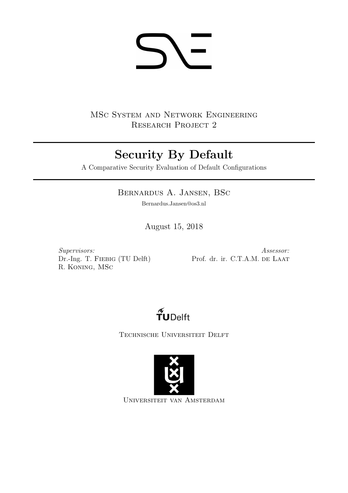# **SI-**

MSc System and Network Engineering RESEARCH PROJECT 2

# Security By Default

A Comparative Security Evaluation of Default Configurations

# Bernardus A. Jansen, BSc

Bernardus.Jansen@os3.nl

August 15, 2018

Supervisors: Dr.-Ing. T. Fiebig (TU Delft) R. Koning, MSc

Assessor: Prof. dr. ir. C.T.A.M. DE LAAT



Technische Universiteit Delft



Universiteit van Amsterdam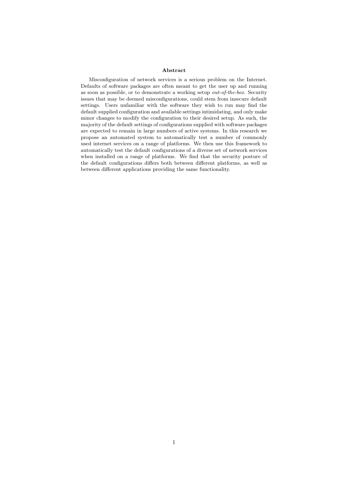#### Abstract

Misconfiguration of network services is a serious problem on the Internet. Defaults of software packages are often meant to get the user up and running as soon as possible, or to demonstrate a working setup out-of-the-box. Security issues that may be deemed misconfigurations, could stem from insecure default settings. Users unfamiliar with the software they wish to run may find the default supplied configuration and available settings intimidating, and only make minor changes to modify the configuration to their desired setup. As such, the majority of the default settings of configurations supplied with software packages are expected to remain in large numbers of active systems. In this research we propose an automated system to automatically test a number of commonly used internet services on a range of platforms. We then use this framework to automatically test the default configurations of a diverse set of network services when installed on a range of platforms. We find that the security posture of the default configurations differs both between different platforms, as well as between different applications providing the same functionality.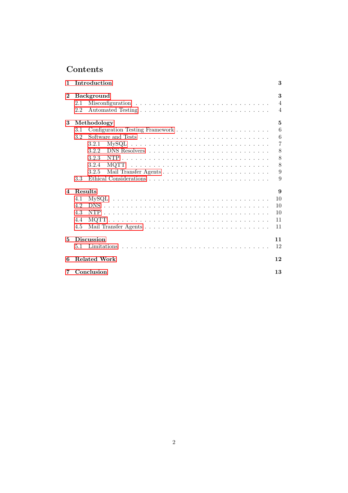# Contents

| 1              |                           | Introduction                                                                                  | 3              |  |  |  |  |  |  |
|----------------|---------------------------|-----------------------------------------------------------------------------------------------|----------------|--|--|--|--|--|--|
| $\bf{2}$       |                           | Background                                                                                    | 3              |  |  |  |  |  |  |
|                | 2.1                       |                                                                                               | $\overline{4}$ |  |  |  |  |  |  |
|                | 2.2                       |                                                                                               | $\overline{4}$ |  |  |  |  |  |  |
| 3              |                           | Methodology                                                                                   | 5              |  |  |  |  |  |  |
|                | 3.1                       |                                                                                               | 6              |  |  |  |  |  |  |
|                | 3.2                       |                                                                                               | 6              |  |  |  |  |  |  |
|                |                           | $MySQL \ldots \ldots \ldots \ldots \ldots \ldots \ldots \ldots \ldots \ldots \ldots$<br>3.2.1 | $\overline{7}$ |  |  |  |  |  |  |
|                |                           | 3.2.2                                                                                         | 8              |  |  |  |  |  |  |
|                |                           | 3.2.3                                                                                         | 8              |  |  |  |  |  |  |
|                |                           | 3.2.4                                                                                         | 8              |  |  |  |  |  |  |
|                |                           | 3.2.5                                                                                         | 9              |  |  |  |  |  |  |
|                | 3.3                       |                                                                                               | 9              |  |  |  |  |  |  |
| $\overline{4}$ | Results                   |                                                                                               | 9              |  |  |  |  |  |  |
|                | 4.1                       |                                                                                               | 10             |  |  |  |  |  |  |
|                | 4.2                       |                                                                                               | 10             |  |  |  |  |  |  |
|                | 4.3                       |                                                                                               | 10             |  |  |  |  |  |  |
|                | 4.4                       |                                                                                               | 11             |  |  |  |  |  |  |
|                | 4.5                       |                                                                                               | 11             |  |  |  |  |  |  |
| 5              | <b>Discussion</b>         |                                                                                               |                |  |  |  |  |  |  |
|                | 5.1                       |                                                                                               | 12             |  |  |  |  |  |  |
| 6              | <b>Related Work</b><br>12 |                                                                                               |                |  |  |  |  |  |  |
| 7              |                           | Conclusion                                                                                    | 13             |  |  |  |  |  |  |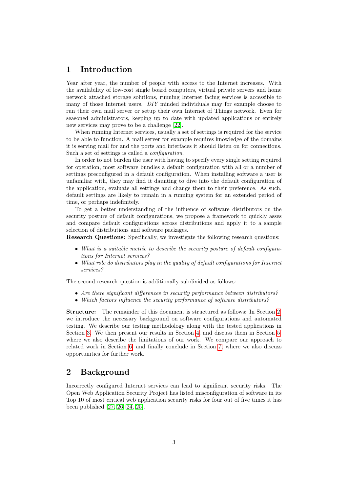# <span id="page-3-0"></span>1 Introduction

Year after year, the number of people with access to the Internet increases. With the availability of low-cost single board computers, virtual private servers and home network attached storage solutions, running Internet facing services is accessible to many of those Internet users. DIY minded individuals may for example choose to run their own mail server or setup their own Internet of Things network. Even for seasoned administrators, keeping up to date with updated applications or entirely new services may prove to be a challenge [\[22\]](#page-15-0).

When running Internet services, usually a set of settings is required for the service to be able to function. A mail server for example requires knowledge of the domains it is serving mail for and the ports and interfaces it should listen on for connections. Such a set of settings is called a *configuration*.

In order to not burden the user with having to specify every single setting required for operation, most software bundles a default configuration with all or a number of settings preconfigured in a default configuration. When installing software a user is unfamiliar with, they may find it daunting to dive into the default configuration of the application, evaluate all settings and change them to their preference. As such, default settings are likely to remain in a running system for an extended period of time, or perhaps indefinitely.

To get a better understanding of the influence of software distributors on the security posture of default configurations, we propose a framework to quickly asses and compare default configurations across distributions and apply it to a sample selection of distributions and software packages.

Research Questions: Specifically, we investigate the following research questions:

- What is a suitable metric to describe the security posture of default configurations for Internet services?
- What role do distributors play in the quality of default configurations for Internet services?

The second research question is additionally subdivided as follows:

- Are there significant differences in security performance between distributors?
- Which factors influence the security performance of software distributors?

Structure: The remainder of this document is structured as follows: In Section [2,](#page-3-1) we introduce the necessary background on software configurations and automated testing. We describe our testing methodology along with the tested applications in Section [3.](#page-5-0) We then present our results in Section [4,](#page-9-2) and discuss them in Section [5,](#page-11-2) where we also describe the limitations of our work. We compare our approach to related work in Section [6,](#page-12-1) and finally conclude in Section [7,](#page-13-0) where we also discuss opportunities for further work.

# <span id="page-3-1"></span>2 Background

Incorrectly configured Internet services can lead to significant security risks. The Open Web Application Security Project has listed misconfiguration of software in its Top 10 of most critical web application security risks for four out of five times it has been published [\[27,](#page-15-1) [26,](#page-15-2) [24,](#page-15-3) [25\]](#page-15-4).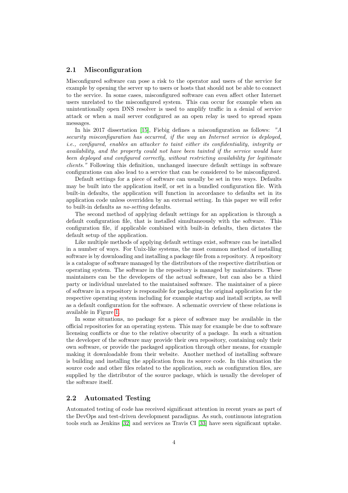#### <span id="page-4-0"></span>2.1 Misconfiguration

Misconfigured software can pose a risk to the operator and users of the service for example by opening the server up to users or hosts that should not be able to connect to the service. In some cases, misconfigured software can even affect other Internet users unrelated to the misconfigured system. This can occur for example when an unintentionally open DNS resolver is used to amplify traffic in a denial of service attack or when a mail server configured as an open relay is used to spread spam messages.

In his 2017 dissertation [\[15\]](#page-14-0), Fiebig defines a misconfiguration as follows: "A security misconfiguration has occurred, if the way an Internet service is deployed, i.e., configured, enables an attacker to taint either its confidentiality, integrity or availability, and the property could not have been tainted if the service would have been deployed and configured correctly, without restricting availability for legitimate clients." Following this definition, unchanged insecure default settings in software configurations can also lead to a service that can be considered to be misconfigured.

Default settings for a piece of software can usually be set in two ways. Defaults may be built into the application itself, or set in a bundled configuration file. With built-in defaults, the application will function in accordance to defaults set in its application code unless overridden by an external setting. In this paper we will refer to built-in defaults as no-setting defaults.

The second method of applying default settings for an application is through a default configuration file, that is installed simultaneously with the software. This configuration file, if applicable combined with built-in defaults, then dictates the default setup of the application.

Like multiple methods of applying default settings exist, software can be installed in a number of ways. For Unix-like systems, the most common method of installing software is by downloading and installing a package file from a repository. A repository is a catalogue of software managed by the distributors of the respective distribution or operating system. The software in the repository is managed by maintainers. These maintainers can be the developers of the actual software, but can also be a third party or individual unrelated to the maintained software. The maintainer of a piece of software in a repository is responsible for packaging the original application for the respective operating system including for example startup and install scripts, as well as a default configuration for the software. A schematic overview of these relations is available in Figure [1.](#page-5-1)

In some situations, no package for a piece of software may be available in the official repositories for an operating system. This may for example be due to software licensing conflicts or due to the relative obscurity of a package. In such a situation the developer of the software may provide their own repository, containing only their own software, or provide the packaged application through other means, for example making it downloadable from their website. Another method of installing software is building and installing the application from its source code. In this situation the source code and other files related to the application, such as configuration files, are supplied by the distributor of the source package, which is usually the developer of the software itself.

#### <span id="page-4-1"></span>2.2 Automated Testing

Automated testing of code has received significant attention in recent years as part of the DevOps and test-driven development paradigms. As such, continuous integration tools such as Jenkins [\[32\]](#page-16-0) and services as Travis CI [\[33\]](#page-16-1) have seen significant uptake.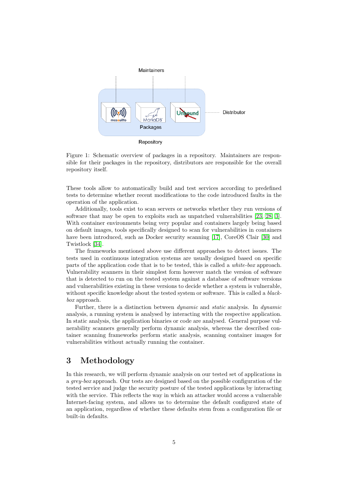

<span id="page-5-1"></span>Figure 1: Schematic overview of packages in a repository. Maintainers are responsible for their packages in the repository, distributors are responsible for the overall repository itself.

These tools allow to automatically build and test services according to predefined tests to determine whether recent modifications to the code introduced faults in the operation of the application.

Additionally, tools exist to scan servers or networks whether they run versions of software that may be open to exploits such as unpatched vulnerabilities [\[23,](#page-15-5) [28,](#page-15-6) [3\]](#page-14-1). With container environments being very popular and containers largely being based on default images, tools specifically designed to scan for vulnerabilities in containers have been introduced, such as Docker security scanning [\[17\]](#page-15-7), CoreOS Clair [\[30\]](#page-15-8) and Twistlock [\[34\]](#page-16-2).

The frameworks mentioned above use different approaches to detect issues. The tests used in continuous integration systems are usually designed based on specific parts of the application code that is to be tested, this is called a white-box approach. Vulnerability scanners in their simplest form however match the version of software that is detected to run on the tested system against a database of software versions and vulnerabilities existing in these versions to decide whether a system is vulnerable, without specific knowledge about the tested system or software. This is called a *black*box approach.

Further, there is a distinction between dynamic and static analysis. In dynamic analysis, a running system is analysed by interacting with the respective application. In static analysis, the application binaries or code are analysed. General purpose vulnerability scanners generally perform dynamic analysis, whereas the described container scanning frameworks perform static analysis, scanning container images for vulnerabilities without actually running the container.

# <span id="page-5-0"></span>3 Methodology

In this research, we will perform dynamic analysis on our tested set of applications in a grey-box approach. Our tests are designed based on the possible configuration of the tested service and judge the security posture of the tested applications by interacting with the service. This reflects the way in which an attacker would access a vulnerable Internet-facing system, and allows us to determine the default configured state of an application, regardless of whether these defaults stem from a configuration file or built-in defaults.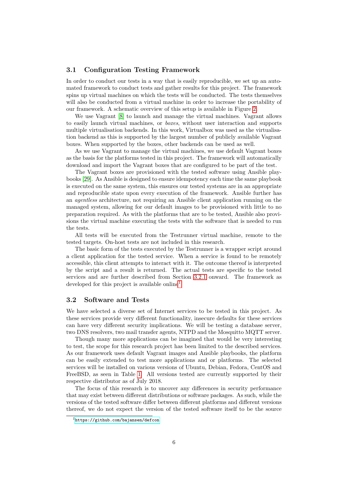#### <span id="page-6-0"></span>3.1 Configuration Testing Framework

In order to conduct our tests in a way that is easily reproducible, we set up an automated framework to conduct tests and gather results for this project. The framework spins up virtual machines on which the tests will be conducted. The tests themselves will also be conducted from a virtual machine in order to increase the portability of our framework. A schematic overview of this setup is available in Figure [2.](#page-7-1)

We use Vagrant [\[8\]](#page-14-2) to launch and manage the virtual machines. Vagrant allows to easily launch virtual machines, or boxes, without user interaction and supports multiple virtualisation backends. In this work, Virtualbox was used as the virtualisation backend as this is supported by the largest number of publicly available Vagrant boxes. When supported by the boxes, other backends can be used as well.

As we use Vagrant to manage the virtual machines, we use default Vagrant boxes as the basis for the platforms tested in this project. The framework will automatically download and import the Vagrant boxes that are configured to be part of the test.

The Vagrant boxes are provisioned with the tested software using Ansible playbooks [\[29\]](#page-15-9). As Ansible is designed to ensure idempotency each time the same playbook is executed on the same system, this ensures our tested systems are in an appropriate and reproducible state upon every execution of the framework. Ansible further has an agentless architecture, not requiring an Ansible client application running on the managed system, allowing for our default images to be provisioned with little to no preparation required. As with the platforms that are to be tested, Ansible also provisions the virtual machine executing the tests with the software that is needed to run the tests.

All tests will be executed from the Testrunner virtual machine, remote to the tested targets. On-host tests are not included in this research.

The basic form of the tests executed by the Testrunner is a wrapper script around a client application for the tested service. When a service is found to be remotely accessible, this client attempts to interact with it. The outcome thereof is interpreted by the script and a result is returned. The actual tests are specific to the tested services and are further described from Section [3.2.1](#page-7-0) onward. The framework as developed for this project is available online<sup>[1](#page-6-2)</sup>

#### <span id="page-6-1"></span>3.2 Software and Tests

We have selected a diverse set of Internet services to be tested in this project. As these services provide very different functionality, insecure defaults for these services can have very different security implications. We will be testing a database server, two DNS resolvers, two mail transfer agents, NTPD and the Mosquitto MQTT server.

Though many more applications can be imagined that would be very interesting to test, the scope for this research project has been limited to the described services. As our framework uses default Vagrant images and Ansible playbooks, the platform can be easily extended to test more applications and or platforms. The selected services will be installed on various versions of Ubuntu, Debian, Fedora, CentOS and FreeBSD, as seen in Table [1.](#page-7-2) All versions tested are currently supported by their respective distributor as of July 2018.

The focus of this research is to uncover any differences in security performance that may exist between different distributions or software packages. As such, while the versions of the tested software differ between different platforms and different versions thereof, we do not expect the version of the tested software itself to be the source

<span id="page-6-2"></span><sup>1</sup><https://github.com/bajansen/defcon>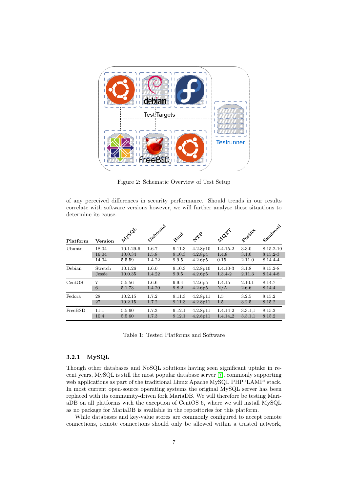

Figure 2: Schematic Overview of Test Setup

<span id="page-7-1"></span>of any perceived differences in security performance. Should trends in our results correlate with software versions however, we will further analyse these situations to determine its cause.

| Platform | <b>Version</b> | <b>ANSIQU</b> | Uppound | Bind   | $\Leftrightarrow$   | Mary                 | Postfut | Sendmail  |
|----------|----------------|---------------|---------|--------|---------------------|----------------------|---------|-----------|
| Ubuntu   | 18.04          | $10.1.29 - 6$ | 1.6.7   | 9.11.3 | 4.2.8p10            | 1.4.15-2             | 3.3.0   | 8.15.2-10 |
|          | 16.04          | 10.0.34       | 1.5.8   | 9.10.3 | 4.2.8p4             | 1.4.8                | 3.1.0   | 8.15.2-3  |
|          | 14.04          | 5.5.59        | 1.4.22  | 9.9.5  | 4.2.6 <sub>p5</sub> | 0.15                 | 2.11.0  | 8.14.4-4  |
| Debian   | Stretch        | 10.1.26       | 1.6.0   | 9.10.3 | 4.2.8p10            | $1.4.10 - 3$         | 3.1.8   | 8.15.2-8  |
|          | Jessie         | 10.0.35       | 1.4.22  | 9.9.5  | 4.2.6p5             | $1.3.4 - 2$          | 2.11.3  | 8.14.4-8  |
| CentOS   | 7              | 5.5.56        | 1.6.6   | 9.9.4  | 4.2.6p5             | 1.4.15               | 2.10.1  | 8.14.7    |
|          | 6              | 5.1.73        | 1.4.20  | 9.8.2  | 4.2.6p5             | N/A                  | 2.6.6   | 8.14.4    |
| Fedora   | 28             | 10.2.15       | 1.7.2   | 9.11.3 | 4.2.8p11            | $1.5\,$              | 3.2.5   | 8.15.2    |
|          | 27             | 10.2.15       | 1.7.2   | 9.11.3 | 4.2.8p11            | 1.5                  | 3.2.5   | 8.15.2    |
| FreeBSD  | 11.1           | 5.5.60        | 1.7.3   | 9.12.1 | 4.2.8p11            | 1.4.14.2             | 3.3.1,1 | 8.15.2    |
|          | 10.4           | 5.5.60        | 1.7.3   | 9.12.1 | 4.2.8p11            | 1.4.14 <sub>-2</sub> | 3.3.1,1 | 8.15.2    |

<span id="page-7-2"></span>Table 1: Tested Platforms and Software

#### <span id="page-7-0"></span>3.2.1 MySQL

Though other databases and NoSQL solutions having seen significant uptake in recent years, MySQL is still the most popular database server [\[7\]](#page-14-3), commonly supporting web applications as part of the traditional Linux Apache MySQL PHP 'LAMP' stack. In most current open-source operating systems the original MySQL server has been replaced with its community-driven fork MariaDB. We will therefore be testing MariaDB on all platforms with the exception of CentOS 6, where we will install MySQL as no package for MariaDB is available in the repositories for this platform.

While databases and key-value stores are commonly configured to accept remote connections, remote connections should only be allowed within a trusted network,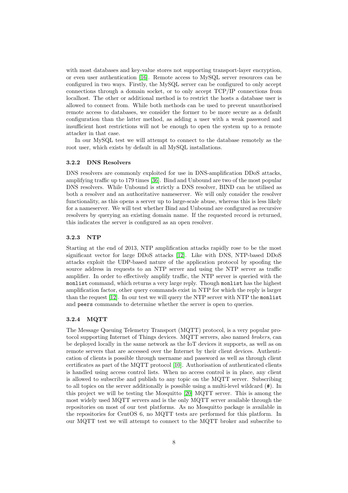with most databases and key-value stores not supporting transport-layer encryption, or even user authentication [\[16\]](#page-15-10). Remote access to MySQL server resources can be configured in two ways. Firstly, the MySQL server can be configured to only accept connections through a domain socket, or to only accept TCP/IP connections from localhost. The other or additional method is to restrict the hosts a database user is allowed to connect from. While both methods can be used to prevent unauthorised remote access to databases, we consider the former to be more secure as a default configuration than the latter method, as adding a user with a weak password and insufficient host restrictions will not be enough to open the system up to a remote attacker in that case.

In our MySQL test we will attempt to connect to the database remotely as the root user, which exists by default in all MySQL installations.

#### <span id="page-8-0"></span>3.2.2 DNS Resolvers

DNS resolvers are commonly exploited for use in DNS-amplification DDoS attacks, amplifying traffic up to 179 times [\[36\]](#page-16-3). Bind and Unbound are two of the most popular DNS resolvers. While Unbound is strictly a DNS resolver, BIND can be utilised as both a resolver and an authoritative nameserver. We will only consider the resolver functionality, as this opens a server up to large-scale abuse, whereas this is less likely for a nameserver. We will test whether Bind and Unbound are configured as recursive resolvers by querying an existing domain name. If the requested record is returned, this indicates the server is configured as an open resolver.

#### <span id="page-8-1"></span>3.2.3 NTP

Starting at the end of 2013, NTP amplification attacks rapidly rose to be the most significant vector for large DDoS attacks [\[12\]](#page-14-4). Like with DNS, NTP-based DDoS attacks exploit the UDP-based nature of the application protocol by spoofing the source address in requests to an NTP server and using the NTP server as traffic amplifier. In order to effectively amplify traffic, the NTP server is queried with the monlist command, which returns a very large reply. Though monlist has the highest amplification factor, other query commands exist in NTP for which the reply is larger than the request [\[12\]](#page-14-4). In our test we will query the NTP server with NTP the monlist and peers commands to determine whether the server is open to queries.

#### <span id="page-8-2"></span>3.2.4 MQTT

The Message Queuing Telemetry Transport (MQTT) protocol, is a very popular protocol supporting Internet of Things devices. MQTT servers, also named brokers, can be deployed locally in the same network as the IoT devices it supports, as well as on remote servers that are accessed over the Internet by their client devices. Authentication of clients is possible through username and password as well as through client certificates as part of the MQTT protocol [\[10\]](#page-14-5). Authorisation of authenticated clients is handled using access control lists. When no access control is in place, any client is allowed to subscribe and publish to any topic on the MQTT server. Subscribing to all topics on the server additionally is possible using a multi-level wildcard (#). In this project we will be testing the Mosquitto [\[20\]](#page-15-11) MQTT server. This is among the most widely used MQTT servers and is the only MQTT server available through the repositories on most of our test platforms. As no Mosquitto package is available in the repositories for CentOS 6, no MQTT tests are performed for this platform. In our MQTT test we will attempt to connect to the MQTT broker and subscribe to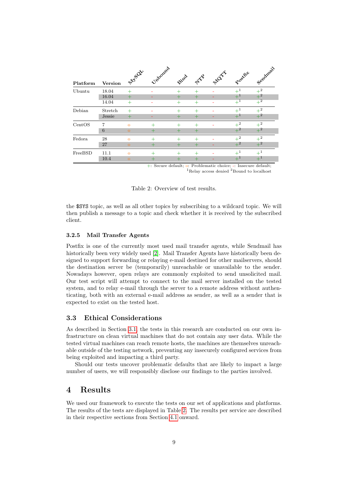|          |                                                                          | <b>MISOL</b> | Unbound          |        |                                | MOTT | Postfat | Sendmail |  |
|----------|--------------------------------------------------------------------------|--------------|------------------|--------|--------------------------------|------|---------|----------|--|
| Platform | <b>Version</b>                                                           |              |                  | Bind   | $\Leftrightarrow^{\text{max}}$ |      |         |          |  |
| Ubuntu   | 18.04                                                                    | $\pm$        |                  | $^+$   |                                |      | $+^1$   | $+^2$    |  |
|          | 16.04                                                                    | $\pm$        |                  | ┿      |                                |      | $+^1$   | $+^2$    |  |
|          | 14.04                                                                    | $^{+}$       | ÷                | $^{+}$ | $^{+}$                         |      | $+^1$   | $+^2$    |  |
| Debian   | Stretch                                                                  | $^{+}$       |                  | $^+$   | $^+$                           |      | $+1$    | $+^2\,$  |  |
|          | Jessie                                                                   |              |                  | ٠      |                                |      | $+^1$   | $+^2$    |  |
| CentOS   | 7                                                                        | $\Omega$     | $^{+}$           |        |                                |      | $+^2$   | $+^2$    |  |
|          | 6                                                                        | $\Omega$     |                  | $\pm$  |                                |      | $+^2$   | $+^2$    |  |
| Fedora   | 28                                                                       | $\circ$      | $\boldsymbol{+}$ |        |                                |      | $+^2$   | $+^2$    |  |
|          | 27                                                                       | $\circ$      | ┿                | ٠      |                                |      | $+^2$   | $+^2$    |  |
| FreeBSD  | 11.1                                                                     | $\Omega$     | $\pm$            |        |                                |      | $+1$    | $+^{1}$  |  |
|          | 10.4                                                                     | $\circ$      | ╇                | ╃      |                                |      | $+^1$   | $+^1$    |  |
|          | $\pm$ : Secure default; o: Problematic choice; $\pm$ : Insecure default; |              |                  |        |                                |      |         |          |  |

<span id="page-9-3"></span> ${}^{1}$ Relay access denied  ${}^{2}$ Bound to localhost

Table 2: Overview of test results.

the \$SYS topic, as well as all other topics by subscribing to a wildcard topic. We will then publish a message to a topic and check whether it is received by the subscribed client.

#### <span id="page-9-0"></span>3.2.5 Mail Transfer Agents

Postfix is one of the currently most used mail transfer agents, while Sendmail has historically been very widely used [\[2\]](#page-14-6). Mail Transfer Agents have historically been designed to support forwarding or relaying e-mail destined for other mailservers, should the destination server be (temporarily) unreachable or unavailable to the sender. Nowadays however, open relays are commonly exploited to send unsolicited mail. Our test script will attempt to connect to the mail server installed on the tested system, and to relay e-mail through the server to a remote address without authenticating, both with an external e-mail address as sender, as well as a sender that is expected to exist on the tested host.

#### <span id="page-9-1"></span>3.3 Ethical Considerations

As described in Section [3.1,](#page-6-0) the tests in this research are conducted on our own infrastructure on clean virtual machines that do not contain any user data. While the tested virtual machines can reach remote hosts, the machines are themselves unreachable outside of the testing network, preventing any insecurely configured services from being exploited and impacting a third party.

Should our tests uncover problematic defaults that are likely to impact a large number of users, we will responsibly disclose our findings to the parties involved.

# <span id="page-9-2"></span>4 Results

We used our framework to execute the tests on our set of applications and platforms. The results of the tests are displayed in Table [2.](#page-9-3) The results per service are described in their respective sections from Section [4.1](#page-10-0) onward.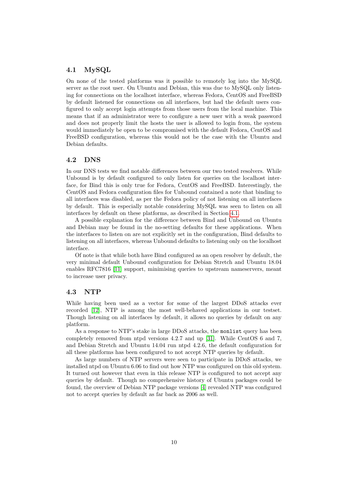### <span id="page-10-0"></span>4.1 MySQL

On none of the tested platforms was it possible to remotely log into the MySQL server as the root user. On Ubuntu and Debian, this was due to MySQL only listening for connections on the localhost interface, whereas Fedora, CentOS and FreeBSD by default listened for connections on all interfaces, but had the default users configured to only accept login attempts from those users from the local machine. This means that if an administrator were to configure a new user with a weak password and does not properly limit the hosts the user is allowed to login from, the system would immediately be open to be compromised with the default Fedora, CentOS and FreeBSD configuration, whereas this would not be the case with the Ubuntu and Debian defaults.

#### <span id="page-10-1"></span>4.2 DNS

In our DNS tests we find notable differences between our two tested resolvers. While Unbound is by default configured to only listen for queries on the localhost interface, for Bind this is only true for Fedora, CentOS and FreeBSD. Interestingly, the CentOS and Fedora configuration files for Unbound contained a note that binding to all interfaces was disabled, as per the Fedora policy of not listening on all interfaces by default. This is especially notable considering MySQL was seen to listen on all interfaces by default on these platforms, as described in Section [4.1.](#page-10-0)

A possible explanation for the difference between Bind and Unbound on Ubuntu and Debian may be found in the no-setting defaults for these applications. When the interfaces to listen on are not explicitly set in the configuration, Bind defaults to listening on all interfaces, whereas Unbound defaults to listening only on the localhost interface.

Of note is that while both have Bind configured as an open resolver by default, the very minimal default Unbound configuration for Debian Stretch and Ubuntu 18.04 enables RFC7816 [\[11\]](#page-14-7) support, minimising queries to upstream nameservers, meant to increase user privacy.

#### <span id="page-10-2"></span>4.3 NTP

While having been used as a vector for some of the largest DDoS attacks ever recorded [\[12\]](#page-14-4), NTP is among the most well-behaved applications in our testset. Though listening on all interfaces by default, it allows no queries by default on any platform.

As a response to NTP's stake in large DDoS attacks, the monlist query has been completely removed from ntpd versions 4.2.7 and up [\[31\]](#page-16-4). While CentOS 6 and 7, and Debian Stretch and Ubuntu 14.04 run ntpd 4.2.6, the default configuration for all these platforms has been configured to not accept NTP queries by default.

As large numbers of NTP servers were seen to participate in DDoS attacks, we installed ntpd on Ubuntu 6.06 to find out how NTP was configured on this old system. It turned out however that even in this release NTP is configured to not accept any queries by default. Though no comprehensive history of Ubuntu packages could be found, the overview of Debian NTP package versions [\[4\]](#page-14-8) revealed NTP was configured not to accept queries by default as far back as 2006 as well.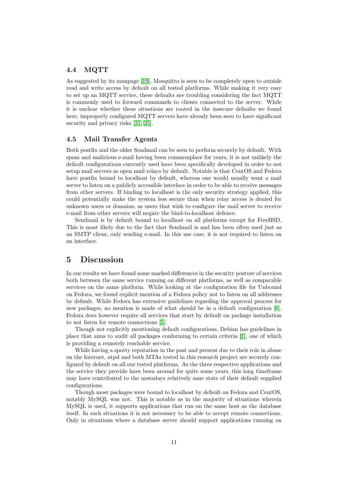#### <span id="page-11-0"></span>4.4 MQTT

As suggested by its manpage [\[19\]](#page-15-12), Mosquitto is seen to be completely open to outside read and write access by default on all tested platforms. While making it very easy to set up an MQTT service, these defaults are troubling considering the fact MQTT is commonly used to forward commands to clients connected to the server. While it is unclear whether these situations are rooted in the insecure defaults we found here, improperly configured MQTT servers have already been seen to have significant security and privacy risks [\[21,](#page-15-13) [35\]](#page-16-5).

#### <span id="page-11-1"></span>4.5 Mail Transfer Agents

Both postfix and the older Sendmail can be seen to perform securely by default. With spam and malicious e-mail having been commonplace for years, it is not unlikely the default configurations currently used have been specifically developed in order to not setup mail servers as open mail relays by default. Notable is that CentOS and Fedora have postfix bound to localhost by default, whereas one would usually want a mail server to listen on a publicly accessible interface in order to be able to receive messages from other servers. If binding to localhost is the only security strategy applied, this could potentially make the system less secure than when relay access is denied for unknown users or domains, as users that wish to configure the mail server to receive e-mail from other servers will negate the bind-to-localhost defence.

Sendmail is by default bound to localhost on all platforms except for FreeBSD. This is most likely due to the fact that Sendmail is and has been often used just as an SMTP client, only sending e-mail. In this use case, it is not required to listen on an interface.

# <span id="page-11-2"></span>5 Discussion

In our results we have found some marked differences in the security posture of services both between the same service running on different platforms, as well as comparable services on the same platform. While looking at the configuration file for Unbound on Fedora, we found explicit mention of a Fedora policy not to listen on all addresses by default. While Fedora has extensive guidelines regarding the approval process for new packages, no mention is made of what should be in a default configuration [\[6\]](#page-14-9). Fedora does however require all services that start by default on package installation to not listen for remote connections [\[5\]](#page-14-10).

Though not explicitly mentioning default configurations, Debian has guidelines in place that aims to audit all packages conforming to certain criteria [\[1\]](#page-14-11), one of which is providing a remotely reachable service.

While having a spotty reputation in the past and present due to their role in abuse on the Internet, ntpd and both MTAs tested in this research project are securely configured by default on all our tested platforms. As the three respective applications and the service they provide have been around for quite some years, this long timeframe may have contributed to the nowadays relatively sane state of their default supplied configurations.

Though most packages were bound to localhost by default on Fedora and CentOS, notably MySQL was not. This is notable as in the majority of situations wherein MySQL is used, it supports applications that run on the same host as the database itself. In such situations it is not necessary to be able to accept remote connections. Only in situations where a database server should support applications running on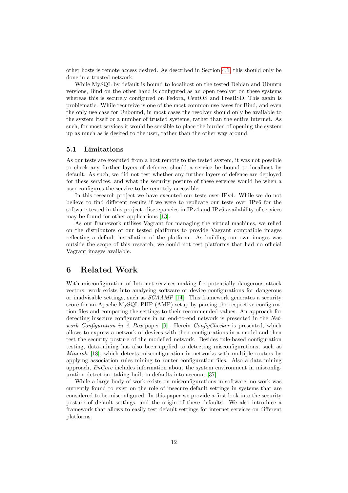other hosts is remote access desired. As described in Section [4.1,](#page-10-0) this should only be done in a trusted network.

While MySQL by default is bound to localhost on the tested Debian and Ubuntu versions, Bind on the other hand is configured as an open resolver on these systems whereas this is securely configured on Fedora, CentOS and FreeBSD. This again is problematic. While recursive is one of the most common use cases for Bind, and even the only use case for Unbound, in most cases the resolver should only be available to the system itself or a number of trusted systems, rather than the entire Internet. As such, for most services it would be sensible to place the burden of opening the system up as much as is desired to the user, rather than the other way around.

#### <span id="page-12-0"></span>5.1 Limitations

As our tests are executed from a host remote to the tested system, it was not possible to check any further layers of defence, should a service be bound to localhost by default. As such, we did not test whether any further layers of defence are deployed for these services, and what the security posture of these services would be when a user configures the service to be remotely accessible.

In this research project we have executed our tests over IPv4. While we do not believe to find different results if we were to replicate our tests over IPv6 for the software tested in this project, discrepancies in IPv4 and IPv6 availability of services may be found for other applications [\[13\]](#page-14-12).

As our framework utilises Vagrant for managing the virtual machines, we relied on the distributors of our tested platforms to provide Vagrant compatible images reflecting a default installation of the platform. As building our own images was outside the scope of this research, we could not test platforms that had no official Vagrant images available.

# <span id="page-12-1"></span>6 Related Work

With misconfiguration of Internet services making for potentially dangerous attack vectors, work exists into analysing software or device configurations for dangerous or inadvisable settings, such as SCAAMP [\[14\]](#page-14-13). This framework generates a security score for an Apache MySQL PHP (AMP) setup by parsing the respective configuration files and comparing the settings to their recommended values. An approach for detecting insecure configurations in an end-to-end network is presented in the Net-work Configuration in A Box paper [\[9\]](#page-14-14). Herein ConfigChecker is presented, which allows to express a network of devices with their configurations in a model and then test the security posture of the modelled network. Besides rule-based configuration testing, data-mining has also been applied to detecting misconfigurations, such as Minerals [\[18\]](#page-15-14), which detects misconfiguration in networks with multiple routers by applying association rules mining to router configuration files. Also a data mining approach, EnCore includes information about the system environment in misconfiguration detection, taking built-in defaults into account [\[37\]](#page-16-6).

While a large body of work exists on misconfigurations in software, no work was currently found to exist on the role of insecure default settings in systems that are considered to be misconfigured. In this paper we provide a first look into the security posture of default settings, and the origin of these defaults. We also introduce a framework that allows to easily test default settings for internet services on different platforms.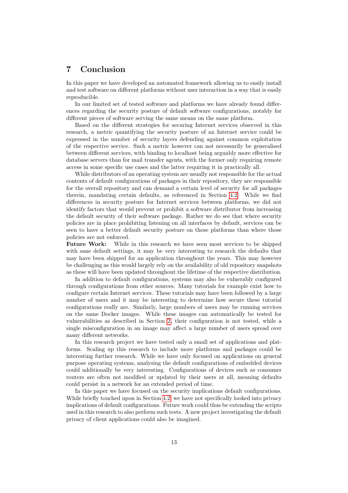# <span id="page-13-0"></span>7 Conclusion

In this paper we have developed an automated framework allowing us to easily install and test software on different platforms without user interaction in a way that is easily reproducible.

In our limited set of tested software and platforms we have already found differences regarding the security posture of default software configurations, notably for different pieces of software serving the same means on the same platform.

Based on the different strategies for securing Internet services observed in this research, a metric quantifying the security posture of an Internet service could be expressed in the number of security layers defending against common exploitation of the respective service. Such a metric however can not necessarily be generalised between different services, with binding to localhost being arguably more effective for database servers than for mail transfer agents, with the former only requiring remote access in some specific use cases and the latter requiring it in practically all.

While distributors of an operating system are usually not responsible for the actual contents of default configurations of packages in their repository, they are responsible for the overall repository and can demand a certain level of security for all packages therein, mandating certain defaults, as referenced in Section [4.2.](#page-10-1) While we find differences in security posture for Internet services between platforms, we did not identify factors that would prevent or prohibit a software distributor from increasing the default security of their software package. Rather we do see that where security policies are in place prohibiting listening on all interfaces by default, services can be seen to have a better default security posture on those platforms than where those policies are not enforced.

Future Work: While in this research we have seen most services to be shipped with sane default settings, it may be very interesting to research the defaults that may have been shipped for an application throughout the years. This may however be challenging as this would largely rely on the availability of old repository snapshots as these will have been updated throughout the lifetime of the respective distribution.

In addition to default configurations, systems may also be vulnerably configured through configurations from other sources. Many tutorials for example exist how to configure certain Internet services. These tutorials may have been followed by a large number of users and it may be interesting to determine how secure these tutorial configurations really are. Similarly, large numbers of users may be running services on the same Docker images. While these images can automatically be tested for vulnerabilities as described in Section [2,](#page-3-1) their configuration is not tested, while a single misconfiguration in an image may affect a large number of users spread over many different networks.

In this research project we have tested only a small set of applications and platforms. Scaling up this research to include more platforms and packages could be interesting further research. While we have only focused on applications on general purpose operating systems, analysing the default configurations of embedded devices could additionally be very interesting. Configurations of devices such as consumer routers are often not modified or updated by their users at all, meaning defaults could persist in a network for an extended period of time.

In this paper we have focused on the security implications default configurations. While briefly touched upon in Section [4.2,](#page-10-1) we have not specifically looked into privacy implications of default configurations. Future work could thus be extending the scripts used in this research to also perform such tests. A new project investigating the default privacy of client applications could also be imagined.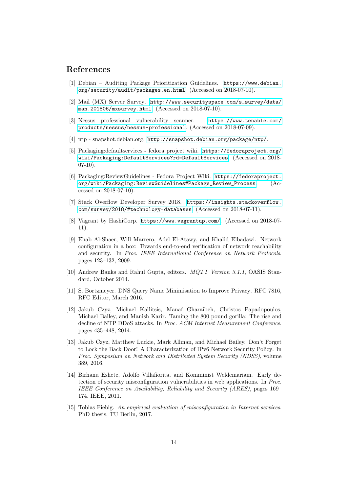## References

- <span id="page-14-11"></span>[1] Debian – Auditing Package Prioritization Guidelines. [https://www.debian.](https://www.debian.org/security/audit/packages.en.html) [org/security/audit/packages.en.html](https://www.debian.org/security/audit/packages.en.html). (Accessed on 2018-07-10).
- <span id="page-14-6"></span>[2] Mail (MX) Server Survey. [http://www.securityspace.com/s\\_survey/data/](http://www.securityspace.com/s_survey/data/man.201806/mxsurvey.html) [man.201806/mxsurvey.html](http://www.securityspace.com/s_survey/data/man.201806/mxsurvey.html). (Accessed on 2018-07-10).
- <span id="page-14-1"></span>[3] Nessus professional vulnerability scanner. [https://www.tenable.com/](https://www.tenable.com/products/nessus/nessus-professional) [products/nessus/nessus-professional](https://www.tenable.com/products/nessus/nessus-professional). (Accessed on 2018-07-09).
- <span id="page-14-8"></span>[4] ntp - snapshot.debian.org. <http://snapshot.debian.org/package/ntp/>.
- <span id="page-14-10"></span>[5] Packaging:defaultservices - fedora project wiki. [https://fedoraproject.org/](https://fedoraproject.org/wiki/Packaging:DefaultServices?rd=DefaultServices) [wiki/Packaging:DefaultServices?rd=DefaultServices](https://fedoraproject.org/wiki/Packaging:DefaultServices?rd=DefaultServices). (Accessed on 2018- 07-10).
- <span id="page-14-9"></span>[6] Packaging:ReviewGuidelines - Fedora Project Wiki. [https://fedoraproject.](https://fedoraproject.org/wiki/Packaging:ReviewGuidelines#Package_Review_Process) [org/wiki/Packaging:ReviewGuidelines#Package\\_Review\\_Process](https://fedoraproject.org/wiki/Packaging:ReviewGuidelines#Package_Review_Process). (Accessed on 2018-07-10).
- <span id="page-14-3"></span>[7] Stack Overflow Developer Survey 2018. [https://insights.stackoverflow.](https://insights.stackoverflow.com/survey/2018/#technology-databases) [com/survey/2018/#technology-databases](https://insights.stackoverflow.com/survey/2018/#technology-databases). (Accessed on 2018-07-11).
- <span id="page-14-2"></span>[8] Vagrant by HashiCorp. <https://www.vagrantup.com/>. (Accessed on 2018-07- 11).
- <span id="page-14-14"></span>[9] Ehab Al-Shaer, Will Marrero, Adel El-Atawy, and Khalid Elbadawi. Network configuration in a box: Towards end-to-end verification of network reachability and security. In Proc. IEEE International Conference on Network Protocols, pages 123–132, 2009.
- <span id="page-14-5"></span>[10] Andrew Banks and Rahul Gupta, editors.  $MQTT$  Version 3.1.1, OASIS Standard, October 2014.
- <span id="page-14-7"></span>[11] S. Bortzmeyer. DNS Query Name Minimisation to Improve Privacy. RFC 7816, RFC Editor, March 2016.
- <span id="page-14-4"></span>[12] Jakub Czyz, Michael Kallitsis, Manaf Gharaibeh, Christos Papadopoulos, Michael Bailey, and Manish Karir. Taming the 800 pound gorilla: The rise and decline of NTP DDoS attacks. In Proc. ACM Internet Measurement Conference, pages 435–448, 2014.
- <span id="page-14-12"></span>[13] Jakub Czyz, Matthew Luckie, Mark Allman, and Michael Bailey. Don't Forget to Lock the Back Door! A Characterization of IPv6 Network Security Policy. In Proc. Symposium on Network and Distributed System Security (NDSS), volume 389, 2016.
- <span id="page-14-13"></span>[14] Birhanu Eshete, Adolfo Villafiorita, and Komminist Weldemariam. Early detection of security misconfiguration vulnerabilities in web applications. In Proc. IEEE Conference on Availability, Reliability and Security (ARES), pages 169– 174. IEEE, 2011.
- <span id="page-14-0"></span>[15] Tobias Fiebig. An empirical evaluation of misconfiguration in Internet services. PhD thesis, TU Berlin, 2017.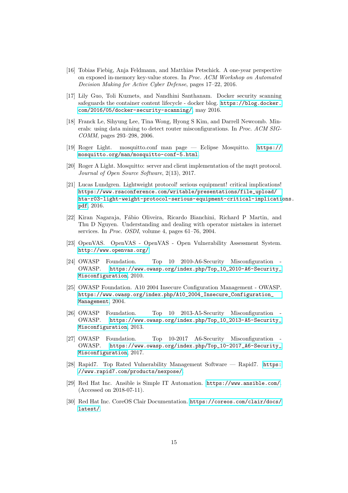- <span id="page-15-10"></span>[16] Tobias Fiebig, Anja Feldmann, and Matthias Petschick. A one-year perspective on exposed in-memory key-value stores. In Proc. ACM Workshop on Automated Decision Making for Active Cyber Defense, pages 17–22, 2016.
- <span id="page-15-7"></span>[17] Lily Guo, Toli Kuznets, and Nandhini Santhanam. Docker security scanning safeguards the container content lifecycle - docker blog. [https://blog.docker.](https://blog.docker.com/2016/05/docker-security-scanning/) [com/2016/05/docker-security-scanning/](https://blog.docker.com/2016/05/docker-security-scanning/), may 2016.
- <span id="page-15-14"></span>[18] Franck Le, Sihyung Lee, Tina Wong, Hyong S Kim, and Darrell Newcomb. Minerals: using data mining to detect router misconfigurations. In Proc. ACM SIG-COMM, pages 293–298, 2006.
- <span id="page-15-12"></span>[19] Roger Light. mosquitto.conf man page — Eclipse Mosquitto. [https://](https://mosquitto.org/man/mosquitto-conf-5.html) [mosquitto.org/man/mosquitto-conf-5.html](https://mosquitto.org/man/mosquitto-conf-5.html).
- <span id="page-15-11"></span>[20] Roger A Light. Mosquitto: server and client implementation of the mott protocol. Journal of Open Source Software, 2(13), 2017.
- <span id="page-15-13"></span>[21] Lucas Lundgren. Lightweight protocol! serious equipment! critical implications! [https://www.rsaconference.com/writable/presentations/file\\_upload/](https://www.rsaconference.com/writable/presentations/file_upload/hta-r03-light-weight-protocol-serious-equipment-critical-implications.pdf) [hta-r03-light-weight-protocol-serious-equipment-critical-implicati](https://www.rsaconference.com/writable/presentations/file_upload/hta-r03-light-weight-protocol-serious-equipment-critical-implications.pdf)ons. [pdf](https://www.rsaconference.com/writable/presentations/file_upload/hta-r03-light-weight-protocol-serious-equipment-critical-implications.pdf), 2016.
- <span id="page-15-0"></span>[22] Kiran Nagaraja, F´abio Oliveira, Ricardo Bianchini, Richard P Martin, and Thu D Nguyen. Understanding and dealing with operator mistakes in internet services. In Proc. OSDI, volume 4, pages 61–76, 2004.
- <span id="page-15-5"></span>[23] OpenVAS. OpenVAS - OpenVAS - Open Vulnerability Assessment System. <http://www.openvas.org/>.
- <span id="page-15-3"></span>[24] OWASP Foundation. Top 10 2010-A6-Security Misconfiguration - OWASP. [https://www.owasp.org/index.php/Top\\_10\\_2010-A6-Security\\_](https://www.owasp.org/index.php/Top_10_2010-A6-Security_Misconfiguration) [Misconfiguration](https://www.owasp.org/index.php/Top_10_2010-A6-Security_Misconfiguration), 2010.
- <span id="page-15-4"></span>[25] OWASP Foundation. A10 2004 Insecure Configuration Management - OWASP. [https://www.owasp.org/index.php/A10\\_2004\\_Insecure\\_Configuration\\_](https://www.owasp.org/index.php/A10_2004_Insecure_Configuration_Management) [Management](https://www.owasp.org/index.php/A10_2004_Insecure_Configuration_Management), 2004.
- <span id="page-15-2"></span>[26] OWASP Foundation. Top 10 2013-A5-Security Misconfiguration - OWASP. [https://www.owasp.org/index.php/Top\\_10\\_2013-A5-Security\\_](https://www.owasp.org/index.php/Top_10_2013-A5-Security_Misconfiguration) [Misconfiguration](https://www.owasp.org/index.php/Top_10_2013-A5-Security_Misconfiguration), 2013.
- <span id="page-15-1"></span>[27] OWASP Foundation. Top 10-2017 A6-Security Misconfiguration OWASP. [https://www.owasp.org/index.php/Top\\_10-2017\\_A6-Security\\_](https://www.owasp.org/index.php/Top_10-2017_A6-Security_Misconfiguration) [Misconfiguration](https://www.owasp.org/index.php/Top_10-2017_A6-Security_Misconfiguration), 2017.
- <span id="page-15-6"></span>[28] Rapid7. Top Rated Vulnerability Management Software — Rapid7. [https:](https://www.rapid7.com/products/nexpose/) [//www.rapid7.com/products/nexpose/](https://www.rapid7.com/products/nexpose/).
- <span id="page-15-9"></span>[29] Red Hat Inc. Ansible is Simple IT Automation. <https://www.ansible.com/>. (Accessed on 2018-07-11).
- <span id="page-15-8"></span>[30] Red Hat Inc. CoreOS Clair Documentation. [https://coreos.com/clair/docs/](https://coreos.com/clair/docs/latest/) [latest/](https://coreos.com/clair/docs/latest/).